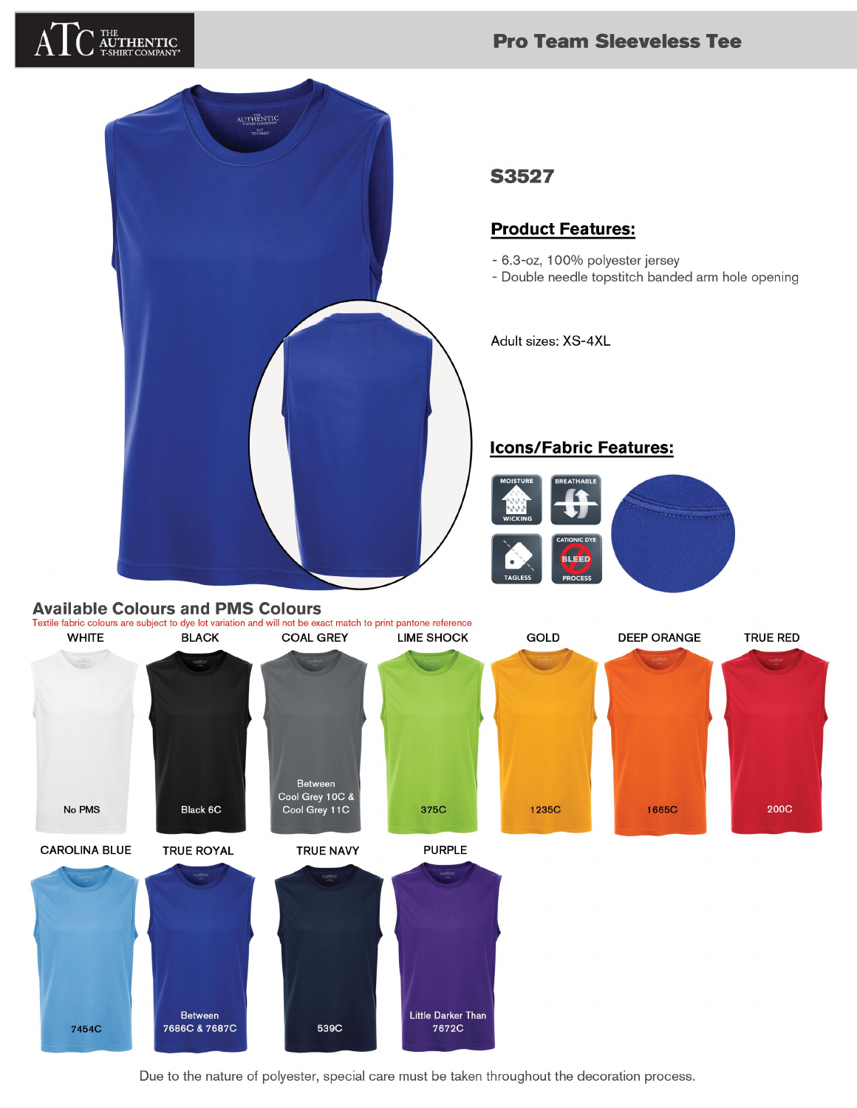# **HENTIC**<br>rt company

## **Pro Team Sleeveless Tee**



#### **S3527**

### **Product Features:**

- 6.3-oz, 100% polyester jersey
- Double needle topstitch banded arm hole opening

Adult sizes: XS-4XL

#### **Icons/Fabric Features:**



#### **Available Colours and PMS Colours**



Due to the nature of polyester, special care must be taken throughout the decoration process.